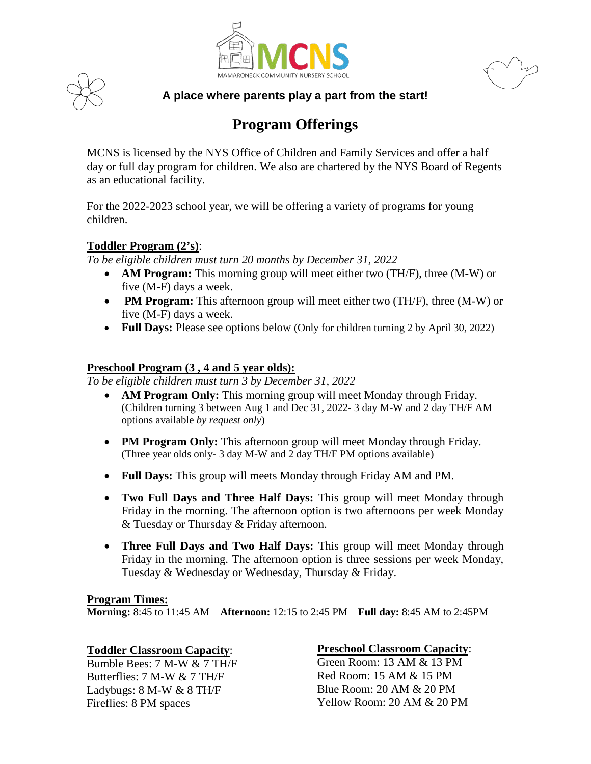



**A place where parents play a part from the start!** MAMARONECK COMMUNITY NURSERY SCHOOL<br>A place where parents play a part from the start!

# **Program Offerings**

MCNS is licensed by the NYS Office of Children and Family Services and offer a half day or full day program for children. We also are chartered by the NYS Board of Regents as an educational facility.

For the 2022-2023 school year, we will be offering a variety of programs for young children.

### **Toddler Program (2's)**:

*To be eligible children must turn 20 months by December 31, 2022*

- **AM Program:** This morning group will meet either two (TH/F), three (M-W) or five (M-F) days a week.
- **PM Program:** This afternoon group will meet either two (TH/F), three (M-W) or five (M-F) days a week.
- **Full Days:** Please see options below (Only for children turning 2 by April 30, 2022)

#### **Preschool Program (3 , 4 and 5 year olds):**

*To be eligible children must turn 3 by December 31, 2022*

- **AM Program Only:** This morning group will meet Monday through Friday. (Children turning 3 between Aug 1 and Dec 31, 2022**-** 3 day M-W and 2 day TH/F AM options available *by request only*)
- **PM Program Only:** This afternoon group will meet Monday through Friday. (Three year olds only**-** 3 day M-W and 2 day TH/F PM options available)
- **Full Days:** This group will meets Monday through Friday AM and PM.
- **Two Full Days and Three Half Days:** This group will meet Monday through Friday in the morning. The afternoon option is two afternoons per week Monday & Tuesday or Thursday & Friday afternoon.
- **Three Full Days and Two Half Days:** This group will meet Monday through Friday in the morning. The afternoon option is three sessions per week Monday, Tuesday & Wednesday or Wednesday, Thursday & Friday.

#### **Program Times:**

**Morning:** 8:45 to 11:45 AM **Afternoon:** 12:15 to 2:45 PM **Full day:** 8:45 AM to 2:45PM

#### **Toddler Classroom Capacity**:

Bumble Bees: 7 M-W & 7 TH/F Butterflies: 7 M-W & 7 TH/F Ladybugs: 8 M-W & 8 TH/F Fireflies: 8 PM spaces

## **Preschool Classroom Capacity**:

Green Room: 13 AM & 13 PM Red Room: 15 AM & 15 PM Blue Room: 20 AM & 20 PM Yellow Room: 20 AM & 20 PM